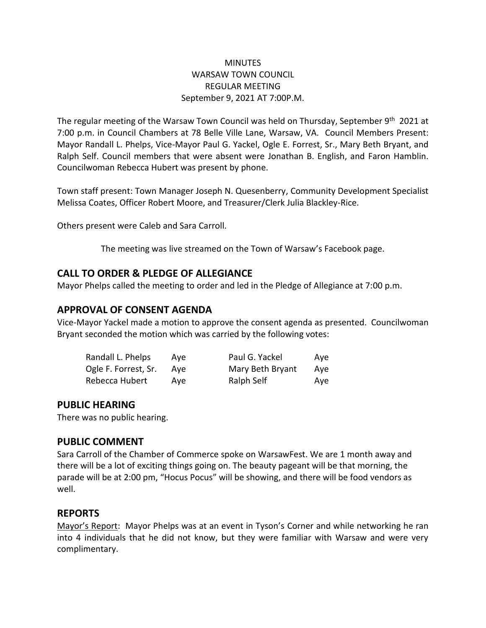### **MINUTES** WARSAW TOWN COUNCIL REGULAR MEETING September 9, 2021 AT 7:00P.M.

The regular meeting of the Warsaw Town Council was held on Thursday, September 9th 2021 at 7:00 p.m. in Council Chambers at 78 Belle Ville Lane, Warsaw, VA. Council Members Present: Mayor Randall L. Phelps, Vice-Mayor Paul G. Yackel, Ogle E. Forrest, Sr., Mary Beth Bryant, and Ralph Self. Council members that were absent were Jonathan B. English, and Faron Hamblin. Councilwoman Rebecca Hubert was present by phone.

Town staff present: Town Manager Joseph N. Quesenberry, Community Development Specialist Melissa Coates, Officer Robert Moore, and Treasurer/Clerk Julia Blackley-Rice.

Others present were Caleb and Sara Carroll.

The meeting was live streamed on the Town of Warsaw's Facebook page.

## **CALL TO ORDER & PLEDGE OF ALLEGIANCE**

Mayor Phelps called the meeting to order and led in the Pledge of Allegiance at 7:00 p.m.

# **APPROVAL OF CONSENT AGENDA**

Vice-Mayor Yackel made a motion to approve the consent agenda as presented. Councilwoman Bryant seconded the motion which was carried by the following votes:

| Randall L. Phelps    | Ave | Paul G. Yackel   | Ave |
|----------------------|-----|------------------|-----|
| Ogle F. Forrest, Sr. | Ave | Mary Beth Bryant | Ave |
| Rebecca Hubert       | Ave | Ralph Self       | Ave |

## **PUBLIC HEARING**

There was no public hearing.

### **PUBLIC COMMENT**

Sara Carroll of the Chamber of Commerce spoke on WarsawFest. We are 1 month away and there will be a lot of exciting things going on. The beauty pageant will be that morning, the parade will be at 2:00 pm, "Hocus Pocus" will be showing, and there will be food vendors as well.

### **REPORTS**

Mayor's Report: Mayor Phelps was at an event in Tyson's Corner and while networking he ran into 4 individuals that he did not know, but they were familiar with Warsaw and were very complimentary.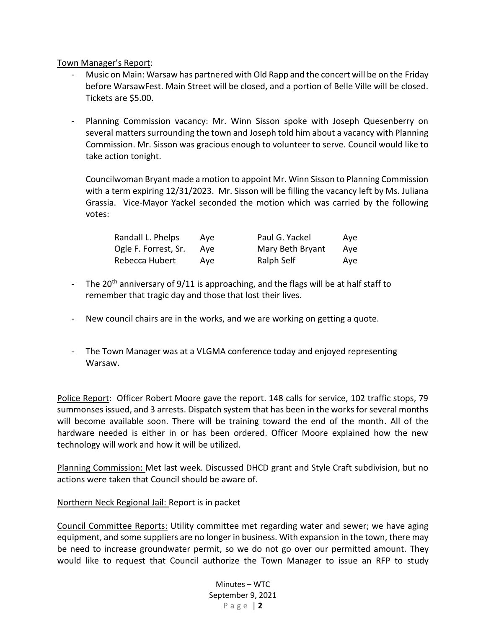Town Manager's Report:

- Music on Main: Warsaw has partnered with Old Rapp and the concert will be on the Friday before WarsawFest. Main Street will be closed, and a portion of Belle Ville will be closed. Tickets are \$5.00.
- Planning Commission vacancy: Mr. Winn Sisson spoke with Joseph Quesenberry on several matters surrounding the town and Joseph told him about a vacancy with Planning Commission. Mr. Sisson was gracious enough to volunteer to serve. Council would like to take action tonight.

Councilwoman Bryant made a motion to appoint Mr. Winn Sisson to Planning Commission with a term expiring 12/31/2023. Mr. Sisson will be filling the vacancy left by Ms. Juliana Grassia. Vice-Mayor Yackel seconded the motion which was carried by the following votes:

| Randall L. Phelps    | Ave | Paul G. Yackel   | Aye |
|----------------------|-----|------------------|-----|
| Ogle F. Forrest, Sr. | Ave | Mary Beth Bryant | Ave |
| Rebecca Hubert       | Ave | Ralph Self       | Aye |

- The 20<sup>th</sup> anniversary of 9/11 is approaching, and the flags will be at half staff to remember that tragic day and those that lost their lives.
- New council chairs are in the works, and we are working on getting a quote.
- The Town Manager was at a VLGMA conference today and enjoyed representing Warsaw.

Police Report: Officer Robert Moore gave the report. 148 calls for service, 102 traffic stops, 79 summonses issued, and 3 arrests. Dispatch system that has been in the works for several months will become available soon. There will be training toward the end of the month. All of the hardware needed is either in or has been ordered. Officer Moore explained how the new technology will work and how it will be utilized.

Planning Commission: Met last week. Discussed DHCD grant and Style Craft subdivision, but no actions were taken that Council should be aware of.

#### Northern Neck Regional Jail: Report is in packet

Council Committee Reports: Utility committee met regarding water and sewer; we have aging equipment, and some suppliers are no longer in business. With expansion in the town, there may be need to increase groundwater permit, so we do not go over our permitted amount. They would like to request that Council authorize the Town Manager to issue an RFP to study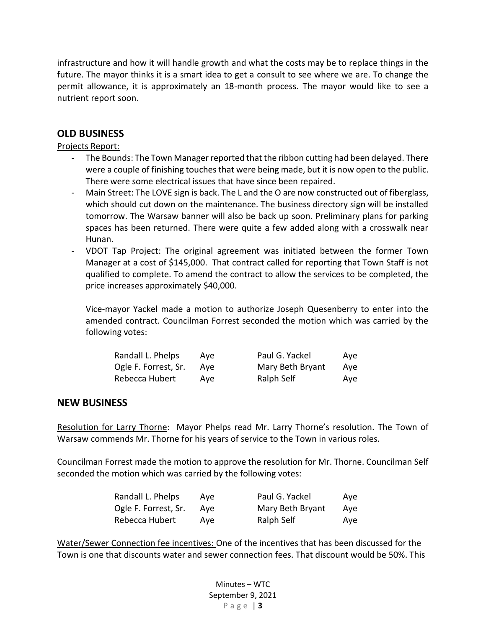infrastructure and how it will handle growth and what the costs may be to replace things in the future. The mayor thinks it is a smart idea to get a consult to see where we are. To change the permit allowance, it is approximately an 18-month process. The mayor would like to see a nutrient report soon.

# **OLD BUSINESS**

Projects Report:

- The Bounds: The Town Manager reported that the ribbon cutting had been delayed. There were a couple of finishing touches that were being made, but it is now open to the public. There were some electrical issues that have since been repaired.
- Main Street: The LOVE sign is back. The L and the O are now constructed out of fiberglass, which should cut down on the maintenance. The business directory sign will be installed tomorrow. The Warsaw banner will also be back up soon. Preliminary plans for parking spaces has been returned. There were quite a few added along with a crosswalk near Hunan.
- VDOT Tap Project: The original agreement was initiated between the former Town Manager at a cost of \$145,000. That contract called for reporting that Town Staff is not qualified to complete. To amend the contract to allow the services to be completed, the price increases approximately \$40,000.

Vice-mayor Yackel made a motion to authorize Joseph Quesenberry to enter into the amended contract. Councilman Forrest seconded the motion which was carried by the following votes:

| Randall L. Phelps    | Ave | Paul G. Yackel   | Aye |
|----------------------|-----|------------------|-----|
| Ogle F. Forrest, Sr. | Ave | Mary Beth Bryant | Ave |
| Rebecca Hubert       | Ave | Ralph Self       | Ave |

### **NEW BUSINESS**

Resolution for Larry Thorne: Mayor Phelps read Mr. Larry Thorne's resolution. The Town of Warsaw commends Mr. Thorne for his years of service to the Town in various roles.

Councilman Forrest made the motion to approve the resolution for Mr. Thorne. Councilman Self seconded the motion which was carried by the following votes:

| Randall L. Phelps    | Ave | Paul G. Yackel   | Ave |
|----------------------|-----|------------------|-----|
| Ogle F. Forrest, Sr. | Ave | Mary Beth Bryant | Ave |
| Rebecca Hubert       | Ave | Ralph Self       | Ave |

Water/Sewer Connection fee incentives: One of the incentives that has been discussed for the Town is one that discounts water and sewer connection fees. That discount would be 50%. This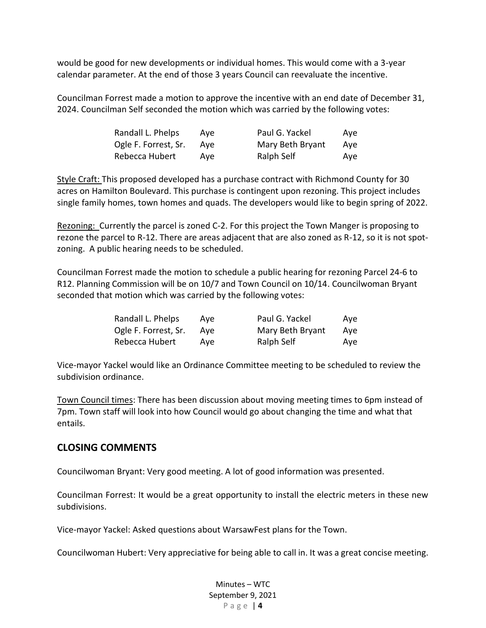would be good for new developments or individual homes. This would come with a 3-year calendar parameter. At the end of those 3 years Council can reevaluate the incentive.

Councilman Forrest made a motion to approve the incentive with an end date of December 31, 2024. Councilman Self seconded the motion which was carried by the following votes:

| Randall L. Phelps    | Ave | Paul G. Yackel   | Ave |
|----------------------|-----|------------------|-----|
| Ogle F. Forrest, Sr. | Ave | Mary Beth Bryant | Ave |
| Rebecca Hubert       | Ave | Ralph Self       | Ave |

Style Craft: This proposed developed has a purchase contract with Richmond County for 30 acres on Hamilton Boulevard. This purchase is contingent upon rezoning. This project includes single family homes, town homes and quads. The developers would like to begin spring of 2022.

Rezoning: Currently the parcel is zoned C-2. For this project the Town Manger is proposing to rezone the parcel to R-12. There are areas adjacent that are also zoned as R-12, so it is not spotzoning. A public hearing needs to be scheduled.

Councilman Forrest made the motion to schedule a public hearing for rezoning Parcel 24-6 to R12. Planning Commission will be on 10/7 and Town Council on 10/14. Councilwoman Bryant seconded that motion which was carried by the following votes:

| Randall L. Phelps    | Ave | Paul G. Yackel   | Ave |
|----------------------|-----|------------------|-----|
| Ogle F. Forrest, Sr. | Ave | Mary Beth Bryant | Ave |
| Rebecca Hubert       | Ave | Ralph Self       | Ave |

Vice-mayor Yackel would like an Ordinance Committee meeting to be scheduled to review the subdivision ordinance.

Town Council times: There has been discussion about moving meeting times to 6pm instead of 7pm. Town staff will look into how Council would go about changing the time and what that entails.

### **CLOSING COMMENTS**

Councilwoman Bryant: Very good meeting. A lot of good information was presented.

Councilman Forrest: It would be a great opportunity to install the electric meters in these new subdivisions.

Vice-mayor Yackel: Asked questions about WarsawFest plans for the Town.

Councilwoman Hubert: Very appreciative for being able to call in. It was a great concise meeting.